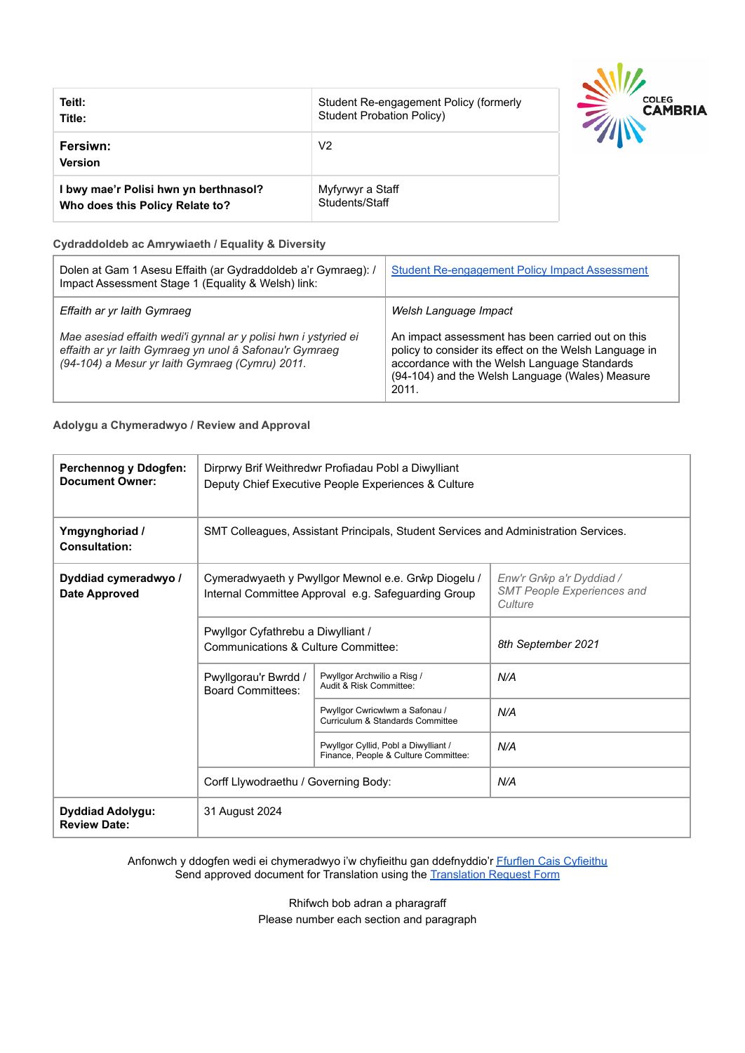| Teitl:                                | Student Re-engagement Policy (formerly |
|---------------------------------------|----------------------------------------|
| Title:                                | Student Probation Policy)              |
| Fersiwn:<br><b>Version</b>            | V2                                     |
| I bwy mae'r Polisi hwn yn berthnasol? | Myfyrwyr a Staff                       |
| Who does this Policy Relate to?       | Students/Staff                         |



#### **Cydraddoldeb ac Amrywiaeth / Equality & Diversity**

| Dolen at Gam 1 Asesu Effaith (ar Gydraddoldeb a'r Gymraeg): /<br>Impact Assessment Stage 1 (Equality & Welsh) link:                                                           | <b>Student Re-engagement Policy Impact Assessment</b>                                                                                                                                                                   |
|-------------------------------------------------------------------------------------------------------------------------------------------------------------------------------|-------------------------------------------------------------------------------------------------------------------------------------------------------------------------------------------------------------------------|
| Effaith ar yr Iaith Gymraeg                                                                                                                                                   | Welsh Language Impact                                                                                                                                                                                                   |
| Mae asesiad effaith wedi'i gynnal ar y polisi hwn i ystyried ei<br>effaith ar yr laith Gymraeg yn unol â Safonau'r Gymraeg<br>(94-104) a Mesur yr Iaith Gymraeg (Cymru) 2011. | An impact assessment has been carried out on this<br>policy to consider its effect on the Welsh Language in<br>accordance with the Welsh Language Standards<br>(94-104) and the Welsh Language (Wales) Measure<br>2011. |

#### **Adolygu a Chymeradwyo / Review and Approval**

| Perchennog y Ddogfen:<br><b>Document Owner:</b> | Dirprwy Brif Weithredwr Profiadau Pobl a Diwylliant<br>Deputy Chief Executive People Experiences & Culture |                                                                              |                                                                          |  |
|-------------------------------------------------|------------------------------------------------------------------------------------------------------------|------------------------------------------------------------------------------|--------------------------------------------------------------------------|--|
| Ymgynghoriad /<br><b>Consultation:</b>          | SMT Colleagues, Assistant Principals, Student Services and Administration Services.                        |                                                                              |                                                                          |  |
| Dyddiad cymeradwyo /<br><b>Date Approved</b>    | Cymeradwyaeth y Pwyllgor Mewnol e.e. Grŵp Diogelu /<br>Internal Committee Approval e.g. Safeguarding Group |                                                                              | Enw'r Grŵp a'r Dyddiad /<br><b>SMT People Experiences and</b><br>Culture |  |
|                                                 | Pwyllgor Cyfathrebu a Diwylliant /<br>Communications & Culture Committee:                                  |                                                                              | 8th September 2021                                                       |  |
|                                                 | Pwyllgorau'r Bwrdd /<br><b>Board Committees:</b>                                                           | Pwyllgor Archwilio a Risg /<br>Audit & Risk Committee:                       | N/A                                                                      |  |
|                                                 |                                                                                                            | Pwyllgor Cwricwlwm a Safonau /<br>Curriculum & Standards Committee           | N/A                                                                      |  |
|                                                 |                                                                                                            | Pwyllgor Cyllid, Pobl a Diwylliant /<br>Finance, People & Culture Committee: | N/A                                                                      |  |
|                                                 | Corff Llywodraethu / Governing Body:                                                                       |                                                                              | N/A                                                                      |  |
| <b>Dyddiad Adolygu:</b><br><b>Review Date:</b>  | 31 August 2024                                                                                             |                                                                              |                                                                          |  |

Anfonwch y ddogfen wedi ei chymeradwyo i'w chyfieithu gan ddefnyddio'r [Ffurflen Cais Cyfieithu](https://staff.cambria.ac.uk/translation-request-form/) Send approved document for Translation using the Translation [Request Form](https://staff.cambria.ac.uk/translation-request-form/)

> Rhifwch bob adran a pharagraff Please number each section and paragraph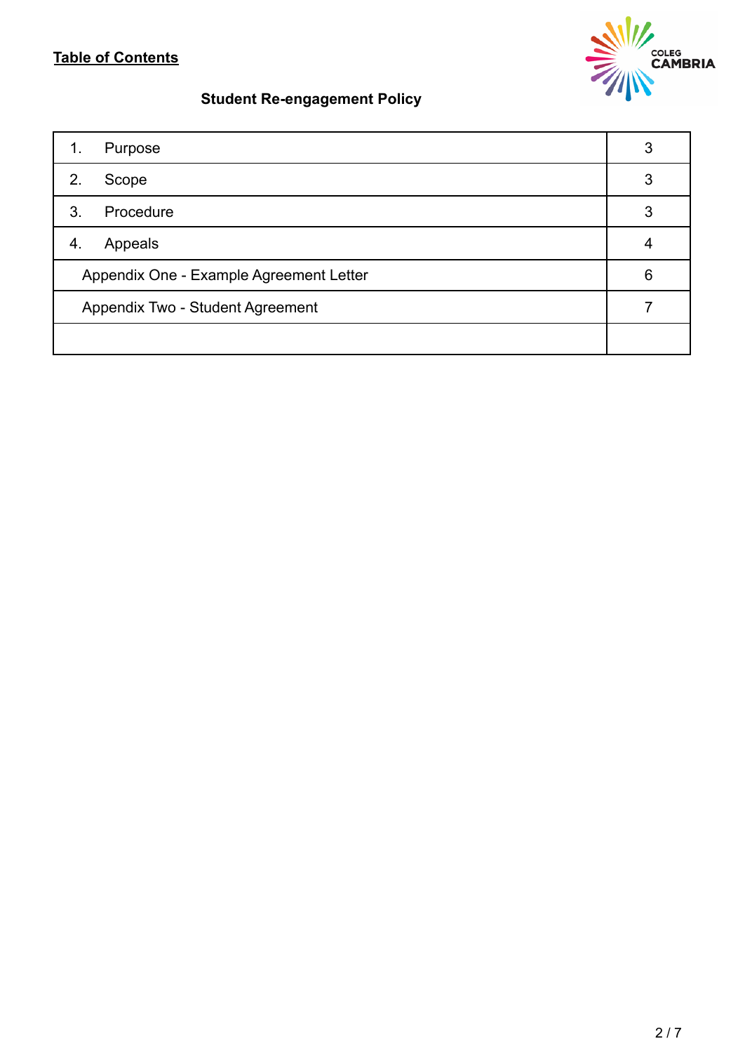# **Table of Contents**



# **Student Re-engagement Policy**

| Purpose<br>1.                           | 3 |
|-----------------------------------------|---|
| 2.<br>Scope                             | 3 |
| Procedure<br>3.                         | 3 |
| Appeals<br>4.                           |   |
| Appendix One - Example Agreement Letter |   |
| Appendix Two - Student Agreement        |   |
|                                         |   |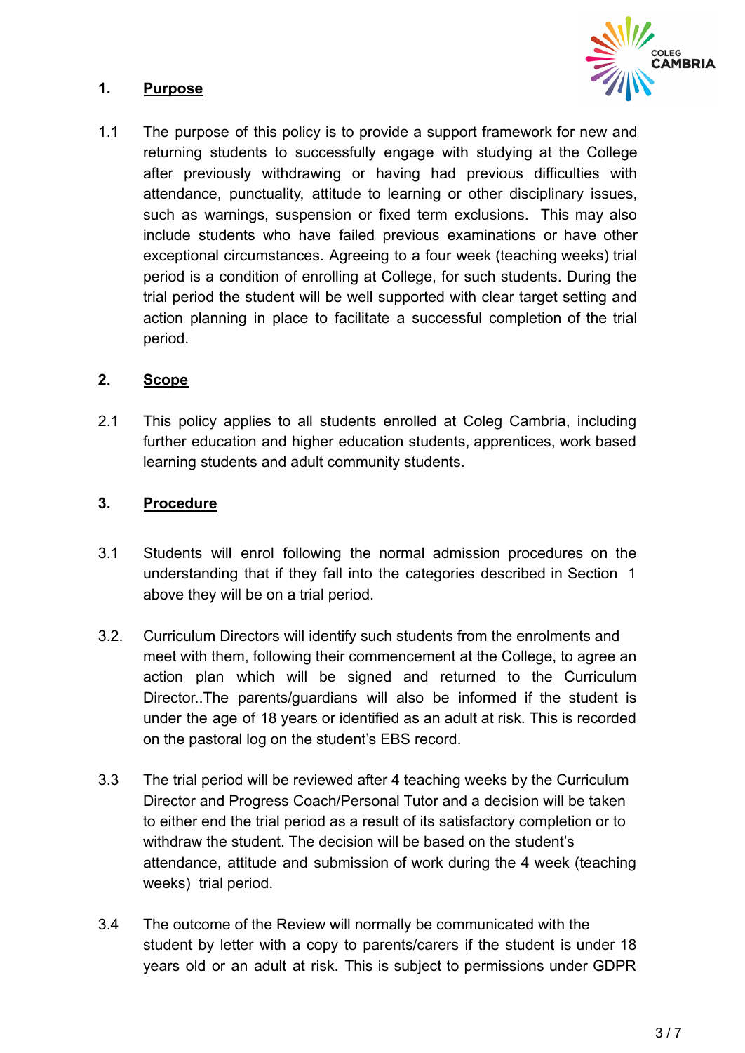

# **1. Purpose**

1.1 The purpose of this policy is to provide a support framework for new and returning students to successfully engage with studying at the College after previously withdrawing or having had previous difficulties with attendance, punctuality, attitude to learning or other disciplinary issues, such as warnings, suspension or fixed term exclusions. This may also include students who have failed previous examinations or have other exceptional circumstances. Agreeing to a four week (teaching weeks) trial period is a condition of enrolling at College, for such students. During the trial period the student will be well supported with clear target setting and action planning in place to facilitate a successful completion of the trial period.

### **2. Scope**

2.1 This policy applies to all students enrolled at Coleg Cambria, including further education and higher education students, apprentices, work based learning students and adult community students.

### **3. Procedure**

- 3.1 Students will enrol following the normal admission procedures on the understanding that if they fall into the categories described in Section 1 above they will be on a trial period.
- 3.2. Curriculum Directors will identify such students from the enrolments and meet with them, following their commencement at the College, to agree an action plan which will be signed and returned to the Curriculum Director..The parents/guardians will also be informed if the student is under the age of 18 years or identified as an adult at risk. This is recorded on the pastoral log on the student's EBS record.
- 3.3 The trial period will be reviewed after 4 teaching weeks by the Curriculum Director and Progress Coach/Personal Tutor and a decision will be taken to either end the trial period as a result of its satisfactory completion or to withdraw the student. The decision will be based on the student's attendance, attitude and submission of work during the 4 week (teaching weeks) trial period.
- 3.4 The outcome of the Review will normally be communicated with the student by letter with a copy to parents/carers if the student is under 18 years old or an adult at risk. This is subject to permissions under GDPR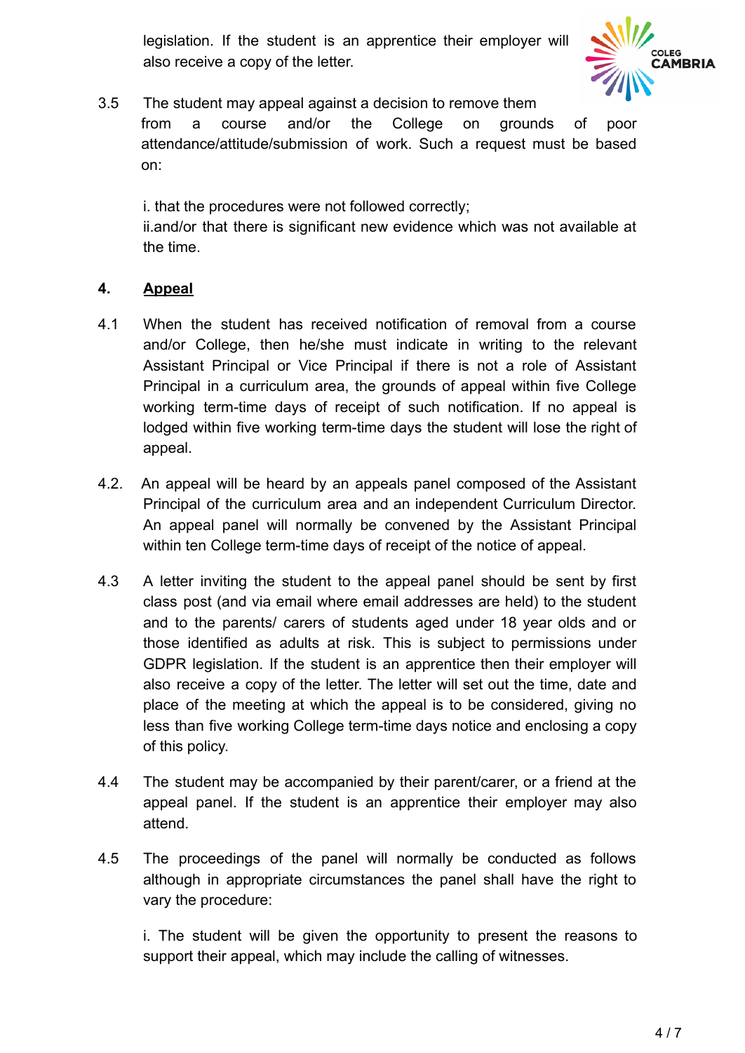legislation. If the student is an apprentice their employer will also receive a copy of the letter.



3.5 The student may appeal against a decision to remove them from a course and/or the College on grounds of poor attendance/attitude/submission of work. Such a request must be based on:

i. that the procedures were not followed correctly; ii.and/or that there is significant new evidence which was not available at the time.

# **4. Appeal**

- 4.1 When the student has received notification of removal from a course and/or College, then he/she must indicate in writing to the relevant Assistant Principal or Vice Principal if there is not a role of Assistant Principal in a curriculum area, the grounds of appeal within five College working term-time days of receipt of such notification. If no appeal is lodged within five working term-time days the student will lose the right of appeal.
- 4.2. An appeal will be heard by an appeals panel composed of the Assistant Principal of the curriculum area and an independent Curriculum Director. An appeal panel will normally be convened by the Assistant Principal within ten College term-time days of receipt of the notice of appeal.
- 4.3 A letter inviting the student to the appeal panel should be sent by first class post (and via email where email addresses are held) to the student and to the parents/ carers of students aged under 18 year olds and or those identified as adults at risk. This is subject to permissions under GDPR legislation. If the student is an apprentice then their employer will also receive a copy of the letter. The letter will set out the time, date and place of the meeting at which the appeal is to be considered, giving no less than five working College term-time days notice and enclosing a copy of this policy.
- 4.4 The student may be accompanied by their parent/carer, or a friend at the appeal panel. If the student is an apprentice their employer may also attend.
- 4.5 The proceedings of the panel will normally be conducted as follows although in appropriate circumstances the panel shall have the right to vary the procedure:

i. The student will be given the opportunity to present the reasons to support their appeal, which may include the calling of witnesses.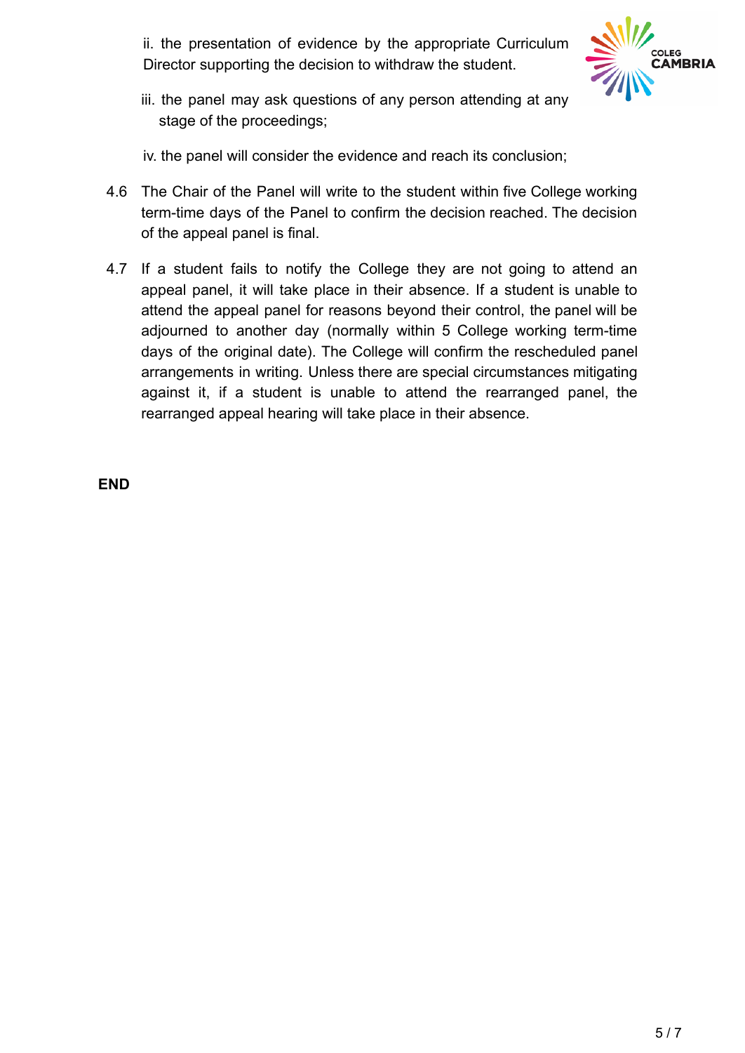ii. the presentation of evidence by the appropriate Curriculum Director supporting the decision to withdraw the student.



iii. the panel may ask questions of any person attending at any stage of the proceedings;

iv. the panel will consider the evidence and reach its conclusion;

- 4.6 The Chair of the Panel will write to the student within five College working term-time days of the Panel to confirm the decision reached. The decision of the appeal panel is final.
- 4.7 If a student fails to notify the College they are not going to attend an appeal panel, it will take place in their absence. If a student is unable to attend the appeal panel for reasons beyond their control, the panel will be adjourned to another day (normally within 5 College working term-time days of the original date). The College will confirm the rescheduled panel arrangements in writing. Unless there are special circumstances mitigating against it, if a student is unable to attend the rearranged panel, the rearranged appeal hearing will take place in their absence.

**END**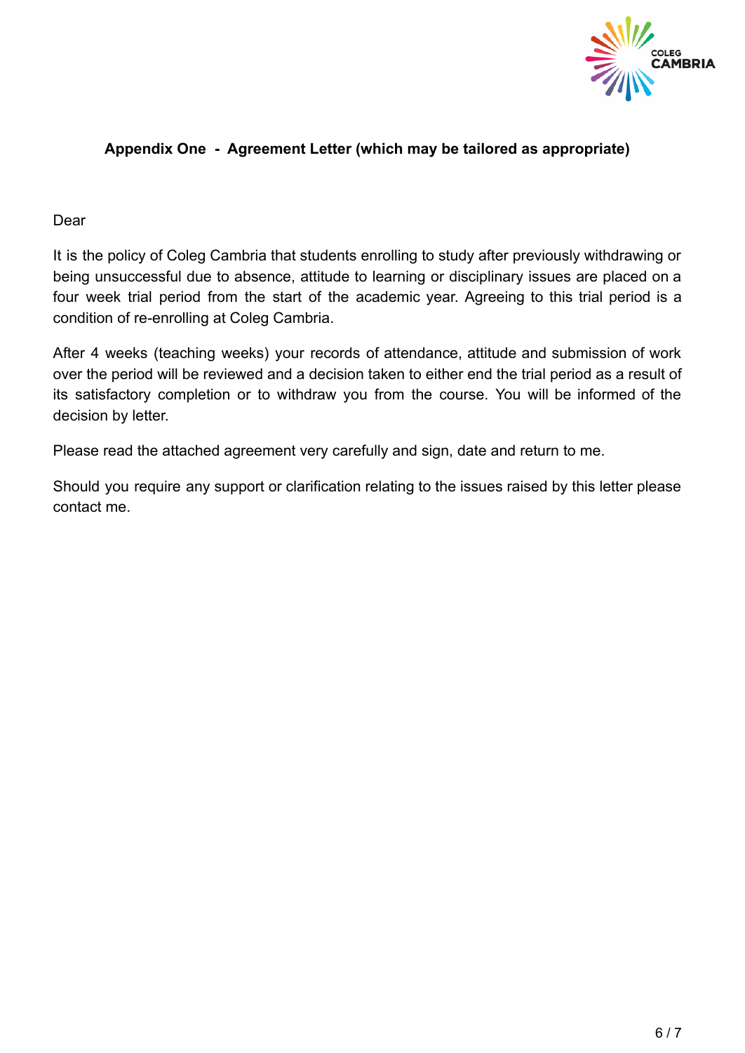

## **Appendix One - Agreement Letter (which may be tailored as appropriate)**

#### Dear

It is the policy of Coleg Cambria that students enrolling to study after previously withdrawing or being unsuccessful due to absence, attitude to learning or disciplinary issues are placed on a four week trial period from the start of the academic year. Agreeing to this trial period is a condition of re-enrolling at Coleg Cambria.

After 4 weeks (teaching weeks) your records of attendance, attitude and submission of work over the period will be reviewed and a decision taken to either end the trial period as a result of its satisfactory completion or to withdraw you from the course. You will be informed of the decision by letter.

Please read the attached agreement very carefully and sign, date and return to me.

Should you require any support or clarification relating to the issues raised by this letter please contact me.